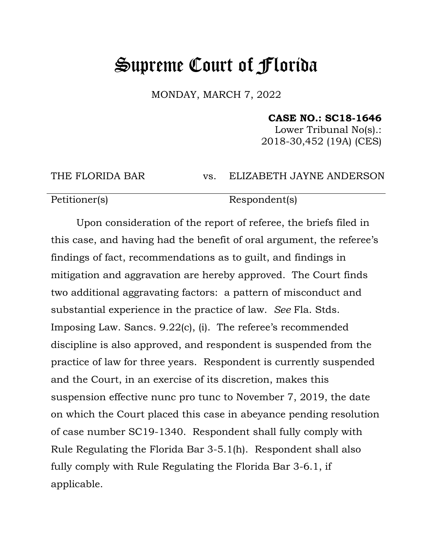## Supreme Court of Florida

MONDAY, MARCH 7, 2022

## **CASE NO.: SC18-1646**

Lower Tribunal No(s).: 2018-30,452 (19A) (CES)

THE FLORIDA BAR vs. ELIZABETH JAYNE ANDERSON

Petitioner(s) Respondent(s)

Upon consideration of the report of referee, the briefs filed in this case, and having had the benefit of oral argument, the referee's findings of fact, recommendations as to guilt, and findings in mitigation and aggravation are hereby approved. The Court finds two additional aggravating factors: a pattern of misconduct and substantial experience in the practice of law. *See* Fla. Stds. Imposing Law. Sancs. 9.22(c), (i). The referee's recommended discipline is also approved, and respondent is suspended from the practice of law for three years. Respondent is currently suspended and the Court, in an exercise of its discretion, makes this suspension effective nunc pro tunc to November 7, 2019, the date on which the Court placed this case in abeyance pending resolution of case number SC19-1340. Respondent shall fully comply with Rule Regulating the Florida Bar 3-5.1(h). Respondent shall also fully comply with Rule Regulating the Florida Bar 3-6.1, if applicable.